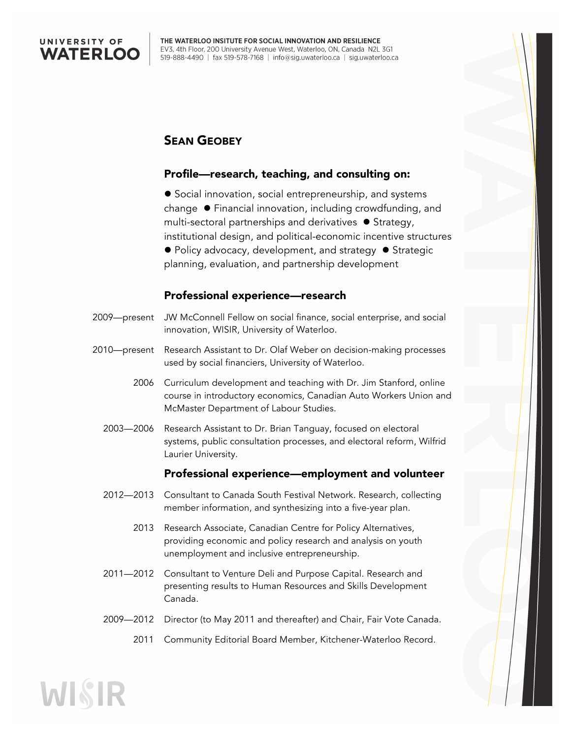

## SEAN GEOBEY

#### Profile—research, teaching, and consulting on:

● Social innovation, social entrepreneurship, and systems change  $\bullet$  Financial innovation, including crowdfunding, and multi-sectoral partnerships and derivatives  $\bullet$  Strategy, institutional design, and political-economic incentive structures  $\bullet$  Policy advocacy, development, and strategy  $\bullet$  Strategic planning, evaluation, and partnership development

#### Professional experience—research

- 2009—present JW McConnell Fellow on social finance, social enterprise, and social innovation, WISIR, University of Waterloo.
- 2010—present Research Assistant to Dr. Olaf Weber on decision-making processes used by social financiers, University of Waterloo.
	- 2006 Curriculum development and teaching with Dr. Jim Stanford, online course in introductory economics, Canadian Auto Workers Union and McMaster Department of Labour Studies.
	- 2003—2006 Research Assistant to Dr. Brian Tanguay, focused on electoral systems, public consultation processes, and electoral reform, Wilfrid Laurier University.

#### Professional experience—employment and volunteer

- 2012—2013 Consultant to Canada South Festival Network. Research, collecting member information, and synthesizing into a five-year plan.
	- 2013 Research Associate, Canadian Centre for Policy Alternatives, providing economic and policy research and analysis on youth unemployment and inclusive entrepreneurship.
- 2011—2012 Consultant to Venture Deli and Purpose Capital. Research and presenting results to Human Resources and Skills Development Canada.
- 2009—2012 Director (to May 2011 and thereafter) and Chair, Fair Vote Canada.
	- 2011 Community Editorial Board Member, Kitchener-Waterloo Record.

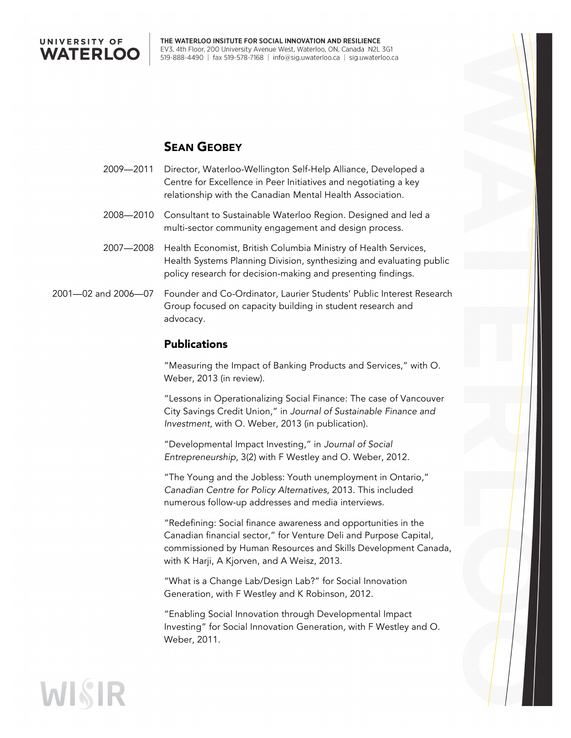

## SEAN GEOBEY

- 2009—2011 Director, Waterloo-Wellington Self-Help Alliance, Developed a Centre for Excellence in Peer Initiatives and negotiating a key relationship with the Canadian Mental Health Association.
- 2008—2010 Consultant to Sustainable Waterloo Region. Designed and led a multi-sector community engagement and design process.
- 2007—2008 Health Economist, British Columbia Ministry of Health Services, Health Systems Planning Division, synthesizing and evaluating public policy research for decision-making and presenting findings.
- 2001—02 and 2006—07 Founder and Co-Ordinator, Laurier Students' Public Interest Research Group focused on capacity building in student research and advocacy.

#### Publications

"Measuring the Impact of Banking Products and Services," with O. Weber, 2013 (in review).

"Lessons in Operationalizing Social Finance: The case of Vancouver City Savings Credit Union," in *Journal of Sustainable Finance and Investment*, with O. Weber, 2013 (in publication).

"Developmental Impact Investing," in *Journal of Social Entrepreneurship*, 3(2) with F Westley and O. Weber, 2012.

"The Young and the Jobless: Youth unemployment in Ontario," *Canadian Centre for Policy Alternatives*, 2013. This included numerous follow-up addresses and media interviews.

"Redefining: Social finance awareness and opportunities in the Canadian financial sector," for Venture Deli and Purpose Capital, commissioned by Human Resources and Skills Development Canada, with K Harji, A Kjorven, and A Weisz, 2013.

"What is a Change Lab/Design Lab?" for Social Innovation Generation, with F Westley and K Robinson, 2012.

"Enabling Social Innovation through Developmental Impact Investing" for Social Innovation Generation*,* with F Westley and O. Weber, 2011.

# WISIR